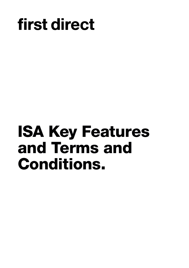# first direct

# **ISA Key Features and Terms and Conditions.**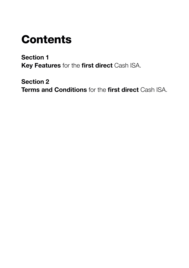# **Contents**

**Section 1 Key Features** for the **first direct** Cash ISA.

**Section 2 Terms and Conditions** for the **first direct** Cash ISA.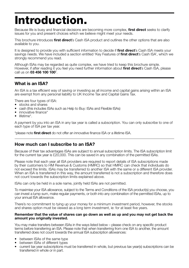# **Introduction.**

Because life is busy and financial decisions are becoming more complex, **first direct** seeks to clarify issues for you and present choices which we believe might meet your needs.

This brochure introduces **first direct**'s Cash ISA product and outlines the other options that are also available to you.

It is designed to provide you with sufficient information to decide if **first direct**'s Cash ISA meets your savings needs. We have included a section entitled 'Key Features of **first direct**'s Cash ISA', which we strongly recommend you read.

Although ISAs may be regarded as quite complex, we have tried to keep this brochure simple. However, if after reading it you feel you need further information about **first direct**'s Cash ISA, please call us on **03 456 100 100**† .

### **What is an ISA?**

An ISA is a tax efficient way of saving or investing as all income and capital gains arising within an ISA are exempt from any personal liability to UK Income Tax and Capital Gains Tax.

- There are four types of ISA:
- stocks and shares
- cash (this includes ISAs such as Help to Buy: ISAs and Flexible ISAs)
- innovative finance\*
- lifetime\*.

A payment by you into an ISA in any tax year is called a subscription. You can only subscribe to one of each type of ISA per tax year.

\*please note **first direct** do not offer an innovative finance ISA or a lifetime ISA.

### **How much can I subscribe to an ISA?**

Because of their tax advantages ISAs are subject to annual subscription limits. The ISA subscription limit for the current tax year is £20,000. This can be saved in any combination of the permitted ISAs.

Please note that each year all ISA providers are required to report details of ISA subscriptions made by their customers to HM Revenue & Customs (HMRC) so that HMRC can check that individuals do not exceed the limits. ISAs may be transferred to another ISA with the same or a different ISA provider. When an ISA is transferred in this way, the amount transferred is not a subscription and therefore does not count towards the subscription limits explained above.

ISAs can only be held in a sole name, jointly held ISAs are not permitted.

To maximise your ISA allowance, subject to the Terms and Conditions of the ISA product(s) you choose, you can invest a lump sum, make regular payments, or both into any combination of the permitted ISAs, up to your annual ISA allowance.

There's no commitment to tying up your money for a minimum investment period, however, the stocks and shares option must be viewed as a long term investment, ie: for at least five years.

#### **Remember that the value of shares can go down as well as up and you may not get back the amount you originally invested.**

You may make transfers between ISAs in the ways listed below – please check on any specific product terms before transferring an ISA. Please note that when transferring from one ISA to another, the amount transferred does not count towards the annual ISA subscription allowances:

- between ISAs of the same type
- between ISAs of different types
- current tax year subscriptions must be transferred in whole, but previous tax year(s) subscriptions can be transferred in whole or in part.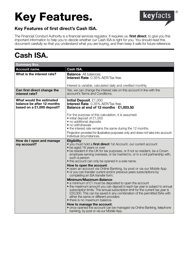# **Key Features.**



### **Key Features of first direct's Cash ISA.**

The Financial Conduct Authority is a financial services regulator. It requires us, **first direct**, to give you this important information to help you to decide whether our Cash ISA is right for you. You should read this document carefully so that you understand what you are buying, and then keep it safe for future reference.

### **Cash ISA.**

| <b>Summary Box.</b>                                                                  |                                                                                                                                                                                                                                                                                                                                                                                                                                                                                                                                                                                                                                                                                                                                                                                                                                                                                                                                                                                                                                                                                                                                            |
|--------------------------------------------------------------------------------------|--------------------------------------------------------------------------------------------------------------------------------------------------------------------------------------------------------------------------------------------------------------------------------------------------------------------------------------------------------------------------------------------------------------------------------------------------------------------------------------------------------------------------------------------------------------------------------------------------------------------------------------------------------------------------------------------------------------------------------------------------------------------------------------------------------------------------------------------------------------------------------------------------------------------------------------------------------------------------------------------------------------------------------------------------------------------------------------------------------------------------------------------|
| Account name.                                                                        | Cash ISA.                                                                                                                                                                                                                                                                                                                                                                                                                                                                                                                                                                                                                                                                                                                                                                                                                                                                                                                                                                                                                                                                                                                                  |
| What is the interest rate?                                                           | <b>Balance.</b> All balances.<br><b>Interest Rate</b> . 0.35% AER/Tax free.<br>Interest is variable, calculated daily and credited monthly.                                                                                                                                                                                                                                                                                                                                                                                                                                                                                                                                                                                                                                                                                                                                                                                                                                                                                                                                                                                                |
| Can first direct change the<br>interest rate?                                        | Yes, we can change the interest rate on this account in line with the<br>account's Terms and Conditions.                                                                                                                                                                                                                                                                                                                                                                                                                                                                                                                                                                                                                                                                                                                                                                                                                                                                                                                                                                                                                                   |
| What would the estimated<br>balance be after 12 months<br>based on a £1,000 deposit? | Initial Deposit. £1,000<br><b>Interest Rate</b> . 0.35% AER/Tax free.<br>Balance at end of 12 months £1,003.50.<br>For the purpose of this calculation, it is assumed:<br>• initial deposit of £1,000<br>• no additional deposits<br>• no withdrawals<br>• the interest rate remains the same during the 12 months.<br>Projection provided for illustrative purposes only and does not take into account<br>individual circumstances.                                                                                                                                                                                                                                                                                                                                                                                                                                                                                                                                                                                                                                                                                                      |
| How do I open and manage<br>my account?                                              | Eligibility:<br>• you must hold a first direct 1st Account, our current account<br>• be aged 18 years or over<br>• be resident in the UK for tax purposes, or if not so resident, be a Crown<br>employee serving overseas, or be married to, or in a civil partnership with,<br>such a person<br>. this account can only be opened in a sole name.<br>How to open the account:<br>• open an account via Online Banking, by post or via our Mobile App<br>• or you can transfer current and/or previous years subscriptions by<br>completing an ISA transfer form.<br><b>Minimum/Maximum Balance:</b><br>• a minimum of £1 must be deposited to open the account<br>• the maximum amount you can deposit in each tax year is subject to annual<br>subscription limits. The annual subscription limit for the current tax year is<br>£20,000. This can be saved in any combination of the permitted ISAs with<br>either the same or different providers<br>• there is no maximum balance.<br>How to manage the account:<br>• once opened the account can be managed via Online Banking, telephone<br>banking, by post or via our Mobile App. |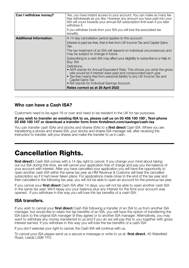| Can I withdraw money?          | Yes, you have instant access to your account. You can make as many fee<br>free withdrawals as you like. However any amount you have paid into your<br>ISA will count towards your annual ISA subscription limit even if you later<br>withdraw it.<br>If you withdraw funds from your ISA you will lose the associated tax |  |  |  |
|--------------------------------|---------------------------------------------------------------------------------------------------------------------------------------------------------------------------------------------------------------------------------------------------------------------------------------------------------------------------|--|--|--|
|                                | benefits.                                                                                                                                                                                                                                                                                                                 |  |  |  |
| <b>Additional Information.</b> | A 14 day cancellation period applies to this account.                                                                                                                                                                                                                                                                     |  |  |  |
|                                | Interest is paid tax-free, that is free from UK Income Tax and Capital Gains<br>Tax.                                                                                                                                                                                                                                      |  |  |  |
|                                | The tax treatment of an ISA will depend on individual circumstances and<br>may be subject to change in future.                                                                                                                                                                                                            |  |  |  |
|                                | Subscribing to a cash ISA may affect your eligibility to subscribe to a Help to<br>Buy: ISA                                                                                                                                                                                                                               |  |  |  |
|                                | Definitions:<br>• AER stands for Annual Equivalent Rate. This shows you what the gross<br>rate would be if interest were paid and compounded each year<br>• Tax-free means free from personal liability to any UK Income Tax and<br>Capital Gains Tax<br>• ISA stands for Individual Savings Account.                     |  |  |  |
|                                | Rates correct as at 28 April 2022                                                                                                                                                                                                                                                                                         |  |  |  |

### **Who can have a Cash ISA?**

Customers need to be aged 18 or over and need to be resident in the UK for tax purposes.

#### **If you wish to transfer an existing ISA to us, please call us on 03 456 100 100**† **, Text-phone 03 456 100 147 or download a transfer form from firstdirect.com/savings/cash-isa**

You can transfer cash ISAs and stocks and shares ISAs to a **first direct** Cash ISA. Where you are transferring a stocks and shares ISA, your stocks and shares ISA manager will, after receiving the instruction to transfer, sell your shares and make the transfer to us in cash.

### **Cancellation Rights.**

**first direct**'s Cash ISA comes with a 14 day right to cancel. If you change your mind about taking out our ISA during this time, we will cancel your application free of charge and pay you the balance of your account with interest. After you have cancelled your application you will have the opportunity to open another cash ISA within the same tax year as HM Revenue & Customs will treat the cancelled subscription as if it had never taken place. For applications made close to the end of the tax year and then cancelled in the following tax year, you will not be able to open an account for the previous tax year.

If you cancel your **first direct** Cash ISA after 14 days, you will not be able to open another cash ISA in the same tax year. We'll repay you your balance plus any interest for the time your account was opened. If you withdraw in this way you will lose the tax benefits of a cash ISA.

### **ISA transfers.**

If you wish to cancel your **first direct** Cash ISA following a transfer of an ISA to us from another ISA manager, but would like to retain the tax benefits of an ISA, you will have the option of transferring the ISA back to the original ISA manager (if they agree) or to another ISA manager. Alternatively, you may want to withdraw any money transferred to us and if you do we will pay this to you together with gross interest earned. If you withdraw in this way you will lose the tax benefits of a cash ISA.

If you don't exercise your right to cancel, the Cash ISA will continue with us.

To cancel your ISA please send us a secure e-message or write to us at: **first direct**, 40 Wakefield Road, Leeds LS98 1FD.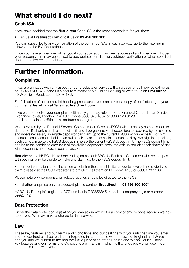### **What should I do next?**

### **Cash ISA.**

If you have decided that the **first direct** Cash ISA is the most appropriate for you then:

• visit us at **firstdirect.com** or call us on **03 456 100 100**†

You can subscribe to any combination of the permitted ISAs in each tax year up to the maximum allowed by the ISA Regulations.

Once you have applied we will tell you if your application has been successful and when we will open your account. This may be subject to appropriate identification, address verification or other specified documentation being produced to us.

### **Further Information.**

### **Complaints.**

If you are unhappy with any aspect of our products or services, then please let us know by calling us on **03 450 511 378**, send us a secure e-message via Online Banking or write to us at: **first direct**, 40 Wakefield Road, Leeds LS98 1FD.

For full details of our complaint handling procedures, you can ask for a copy of our 'listening to your comments' leaflet or visit 'legals' at **firstdirect.com**

If we cannot resolve your complaint, ultimately you may refer it to the Financial Ombudsman Service, Exchange Tower, London E14 9SR. Phone 0800 023 4567 or 0300 123 9123. email: complaint.info@financial-ombudsman.org.uk

We're covered by the Financial Services Compensation Scheme (FSCS) which can pay compensation to depositors if a bank is unable to meet its financial obligations. Most depositors are covered by the scheme and where necessary an eligible depositor can claim up to the current FSCS limit for deposits. For joint accounts, each account holder can claim their share so, for a joint account held by two eligible depositors, each can claim up to the FSCS deposit limit ie 2 x the current FSCS deposit limit. The FSCS deposit limit applies to the combined amount in all the eligible depositor's accounts with us including their share of any joint account(s), not to each separate account.

**first direct** and HSBC UK are both trading names of HSBC UK Bank plc. Customers who hold deposits with both will only be eligible to make one claim, up to the FSCS deposit limit.

For further information about the scheme including the current limits, amounts covered and eligibility to claim please visit the FSCS website fscs.org.uk or call them on 020 7741 4100 or 0800 678 1100.

Please note only compensation related queries should be directed to the FSCS.

For all other enquiries on your account please contact **first direct** on **03 456 100 100**† .

HSBC UK Bank plc's registered VAT number is GB365684514 and its company register number is 09928412.

### **Data Protection.**

Under the data protection legislation you can ask in writing for a copy of any personal records we hold about you. We may make a charge for this service.

### **Law.**

These key features and our Terms and Conditions and our dealings with you until the time you enter into the contract shall be read and interpreted in accordance with the laws of England and Wales and you and we submit to the non-exclusive jurisdiction of the English and Welsh Courts. These key features and our Terms and Conditions are in English, which is the language we will use in our communications with you.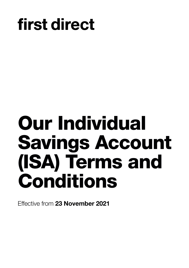# first direct

# **Our Individual Savings Account (ISA) Terms and Conditions**

Effective from **23 November 2021**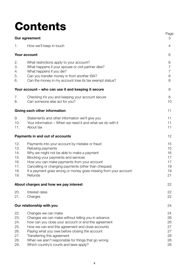# **Contents**

|                                                      | Our agreement                                                                                                                                                                                                                                                                                                                                                           | uy.<br>3                                     |
|------------------------------------------------------|-------------------------------------------------------------------------------------------------------------------------------------------------------------------------------------------------------------------------------------------------------------------------------------------------------------------------------------------------------------------------|----------------------------------------------|
| 1.                                                   | How we'll keep in touch                                                                                                                                                                                                                                                                                                                                                 | 4                                            |
|                                                      | Your account                                                                                                                                                                                                                                                                                                                                                            | 6                                            |
| 2.<br>З.<br>4.<br>5.<br>6.                           | What restrictions apply to your account?<br>What happens if your spouse or civil partner dies?<br>What happens if you die?<br>Can you transfer money in from another ISA?<br>Can the money in my account lose its tax exempt status?                                                                                                                                    | 6<br>7<br>7<br>8<br>8                        |
|                                                      | Your account – who can use it and keeping it secure                                                                                                                                                                                                                                                                                                                     | 8                                            |
| 7.<br>8.                                             | Checking it's you and keeping your account secure<br>Can someone else act for you?                                                                                                                                                                                                                                                                                      | 8<br>10                                      |
|                                                      | Giving each other information                                                                                                                                                                                                                                                                                                                                           | 11                                           |
| 9.<br>10.<br>11.                                     | Statements and other information we'll give you<br>Your information – When we need it and what we do with it<br>About tax                                                                                                                                                                                                                                               | 11<br>11<br>11                               |
|                                                      | Payments in and out of accounts                                                                                                                                                                                                                                                                                                                                         | 12                                           |
| 12.<br>13.<br>14.<br>15.<br>16.<br>17.<br>18.<br>19. | Payments into your account by mistake or fraud<br>Refusing payments<br>Why we might not be able to make a payment<br>Blocking your payments and services<br>How you can make payments from your account<br>Cancelling or changing payments (other than cheques)<br>If a payment goes wrong or money goes missing from your account<br>Refunds                           | 15<br>15<br>16<br>17<br>17<br>19<br>19<br>21 |
|                                                      | About charges and how we pay interest                                                                                                                                                                                                                                                                                                                                   | 22                                           |
| 20.<br>21.                                           | Interest rates<br>Charges                                                                                                                                                                                                                                                                                                                                               | 22<br>22                                     |
|                                                      | Our relationship with you                                                                                                                                                                                                                                                                                                                                               | 24                                           |
| 22.<br>23.<br>24.<br>25.<br>26.<br>27.<br>28.<br>29. | Changes we can make<br>Changes we can make without telling you in advance<br>how can you close your account or end this agreement<br>How we can end this agreement and close accounts<br>Paying what you owe before closing the account<br>Transferring this agreement<br>When we aren't responsible for things that go wrong<br>Which country's courts and laws apply? | 24<br>26<br>26<br>27<br>27<br>28<br>28<br>28 |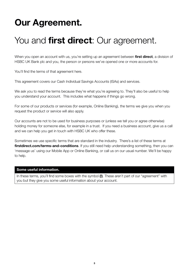# **Our Agreement.**

## You and **first direct**: Our agreement.

When you open an account with us, you're setting up an agreement between **first direct**, a division of HSBC UK Bank plc and you, the person or persons we've opened one or more accounts for.

You'll find the terms of that agreement here.

This agreement covers our Cash Individual Savings Accounts (ISAs) and services.

We ask you to read the terms because they're what you're agreeing to. They'll also be useful to help you understand your account. This includes what happens if things go wrong.

For some of our products or services (for example, Online Banking), the terms we give you when you request the product or service will also apply.

Our accounts are not to be used for business purposes or (unless we tell you or agree otherwise) holding money for someone else, for example in a trust. If you need a business account, give us a call and we can help you get in touch with HSBC UK who offer these.

Sometimes we use specific terms that are standard in the industry. There's a list of these terms at **firstdirect.com/terms-and-conditions**. If you still need help understanding something, then you can 'message us' using our Mobile App or Online Banking, or call us on our usual number. We'll be happy to help.

#### **Some useful information.**

In these terms, you'll find some boxes with the symbol **(!)**. These aren't part of our "agreement" with you but they give you some useful information about your account.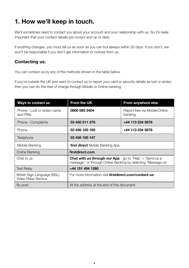### **1. How we'll keep in touch.**

We'll sometimes need to contact you about your account and your relationship with us. So it's really important that your contact details are correct and up to date.

If anything changes, you must tell us as soon as you can but always within 30 days. If you don't, we won't be responsible if you don't get information or notices from us.

### **Contacting us.**

You can contact us by any of the methods shown in the table below.

If you're outside the UK and want to contact us to report your card or security details as lost or stolen, then you can do this free of charge through Mobile or Online banking.

| Ways to contact us                                 | <b>From the UK</b>                                                                                                                 | From anywhere else                       |  |
|----------------------------------------------------|------------------------------------------------------------------------------------------------------------------------------------|------------------------------------------|--|
| Phone - Lost or stolen cards<br>and PINs           | 0800 085 2404                                                                                                                      | Report free via Mobile/Online<br>banking |  |
| Phone - Complaints                                 | 03 450 511 378                                                                                                                     | +44 113 234 5678                         |  |
| Phone                                              | 03 456 100 100                                                                                                                     | +44 113 234 5678                         |  |
| Textphone                                          | 03 456 100 147                                                                                                                     |                                          |  |
| Mobile Banking                                     | <b>first direct</b> Mobile Banking App                                                                                             |                                          |  |
| Online Banking                                     | firstdirect.com                                                                                                                    |                                          |  |
| Chat to us                                         | <b>Chat with us through our App</b> - go to 'Help' $>$ 'Send us a<br>message', or through Online Banking by selecting 'Message us' |                                          |  |
| <b>Text Relay</b>                                  | +44 151 494 1260                                                                                                                   |                                          |  |
| British Sign Language (BSL)<br>Video Relay Service | For more information visit <b>firstdirect.com/contact-us</b>                                                                       |                                          |  |
| By post                                            | At the address at the end of this document                                                                                         |                                          |  |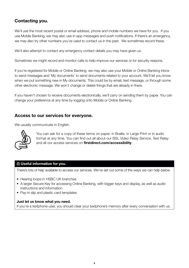### **Contacting you.**

We'll use the most recent postal or email address, phone and mobile numbers we have for you. If you use Mobile Banking, we may also use in-app messages and push notifications. If there's an emergency, we may also try other numbers you've used to contact us in the past. We sometimes record these.

We'll also attempt to contact any emergency contact details you may have given us.

Sometimes we might record and monitor calls to help improve our services or for security reasons.

If you're registered for Mobile or Online Banking, we may also use your Mobile or Online Banking Inbox to send messages and 'My documents' to send documents related to your account. We'll let you know when we put something new in My documents. This could be by email, text message, or through some other electronic message. We won't change or delete things that are already in there.

If you haven't chosen to receive documents electronically, we'll carry on sending them by paper. You can change your preference at any time by logging onto Mobile or Online Banking.

### **Access to our services for everyone.**

We usually communicate in English.



 You can ask for a copy of these terms on paper, in Braille, in Large Print or in audio format at any time. You can find out all about our BSL Video Relay Service, Text Relay and all our access services on **firstdirect.com/accessibility**.

### **(!) Useful information for you.**

There's lots of help available to access our services. We've set out some of the ways we can help below.

- Hearing loops in HSBC UK branches.
- A larger Secure Key for accessing Online Banking, with bigger keys and display, as well as audio instructions and information.
- Pay-in slip and plastic card templates

### **Just let us know what you need.**

If you're a textphone user, you should clear your textphone's memory after every conversation with us.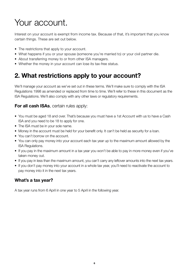# Your account.

Interest on your account is exempt from income tax. Because of that, it's important that you know certain things. These are set out below.

- The restrictions that apply to your account.
- What happens if you or your spouse (someone you're married to) or your civil partner die.
- About transferring money to or from other ISA managers.
- Whether the money in your account can lose its tax-free status.

### **2. What restrictions apply to your account?**

We'll manage your account as we've set out in these terms. We'll make sure to comply with the ISA Regulations 1998 as amended or replaced from time to time. We'll refer to these in this document as the ISA Regulations. We'll also comply with any other laws or regulatory requirements.

### **For all cash ISAs**, certain rules apply:

- You must be aged 18 and over. That's because you must have a 1st Account with us to have a Cash ISA and you need to be 18 to apply for one.
- The ISA must be in your sole name.
- Money in the account must be held for your benefit only. It can't be held as security for a loan.
- You can't borrow on the account.
- You can only pay money into your account each tax year up to the maximum amount allowed by the ISA Regulations.
- If you pay in the maximum amount in a tax year you won't be able to pay in more money even if you've taken money out.
- If you pay in less than the maximum amount, you can't carry any leftover amounts into the next tax years.
- If you don't pay money into your account in a whole tax year, you'll need to reactivate the account to pay money into it in the next tax years.

### **What's a tax year?**

A tax year runs from 6 April in one year to 5 April in the following year.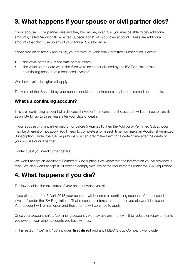### **3. What happens if your spouse or civil partner dies?**

If your spouse or civil partner dies and they had money in an ISA, you may be able to pay additional amounts, called "Additional Permitted Subscriptions" into your own account. These are additional amounts that don't use up any of your annual ISA allowance.

If they died on or after 6 April 2018, your maximum Additional Permitted Subscription is either:

- the value of the ISA at the date of their death.
- the value on the date when the ISAs were no longer classed by the ISA Regulations as a "continuing account of a deceased investor".

Whichever value is higher will apply.

The value of the ISAs held by your spouse or civil partner includes any income earned but not paid.

### **What's a continuing account?**

This is a "continuing account of a deceased investor". It means that the account will continue to classify as an ISA for up to three years after your date of death.

If your spouse or civil partner died on or before 5 April 2018 then the Additional Permitted Subscription may be different or not apply. You'll need to complete a form each time you make an Additional Permitted Subscription. Under the ISA Regulations you can only make them for a certain time after the death of your spouse or civil partner.

Contact us if you need further details.

We won't accept an Additional Permitted Subscription if we know that the information you've provided is false. We also won't accept it if it doesn't comply with any of the requirements under the ISA Regulations.

### **4. What happens if you die?**

The law decides the tax status of your account when you die.

If you die on or after 6 April 2018 your account will become a "continuing account of a deceased investor" under the ISA Regulations. That means the interest earned after you die won't be taxable. Your account will remain open and these terms will continue to apply.

Once your account isn't a "continuing account", we may use any money in it to reduce or repay amounts you owe on your other accounts you have with us.

In this section, "we" and "us" includes **first direct** and any HSBC Group Company worldwide.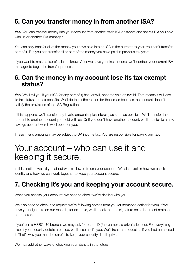### **5. Can you transfer money in from another ISA?**

**Yes**. You can transfer money into your account from another cash ISA or stocks and shares ISA you hold with us or another ISA manager.

You can only transfer all of the money you have paid into an ISA in the current tax year. You can't transfer part of it. But you can transfer all or part of the money you have paid in previous tax years.

If you want to make a transfer, let us know. After we have your instructions, we'll contact your current ISA manager to begin the transfer process.

### **6. Can the money in my account lose its tax exempt status?**

**Yes.** We'll tell you if your ISA (or any part of it) has, or will, become void or invalid. That means it will lose its tax status and tax benefits. We'll do that if the reason for the loss is because the account doesn't satisfy the provisions of the ISA Regulations.

If this happens, we'll transfer any invalid amounts (plus interest) as soon as possible. We'll transfer the amount to another account you hold with us. Or if you don't have another account, we'll transfer to a new savings account which we'll open for you.

These invalid amounts may be subject to UK income tax. You are responsible for paying any tax.

### Your account – who can use it and keeping it secure.

In this section, we tell you about who's allowed to use your account. We also explain how we check identity and how we can work together to keep your account secure.

### **7. Checking it's you and keeping your account secure.**

When you access your account, we need to check we're dealing with you.

We also need to check the request we're following comes from you (or someone acting for you). If we have your signature on our records, for example, we'll check that the signature on a document matches our records.

If you're in a HSBC UK branch, we may ask for photo ID (for example, a driver's licence). For everything else, if your security details are used, we'll assume it's you. We'll treat the request as if you had authorised it. That's why you must be careful to keep your security details private.

We may add other ways of checking your identity in the future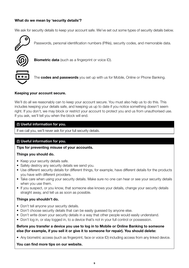### **What do we mean by 'security details'?**

We ask for security details to keep your account safe. We've set out some types of security details below.



Passwords, personal identification numbers (PINs), security codes, and memorable data.



**Biometric data** (such as a fingerprint or voice ID).



The **codes and passwords** you set up with us for Mobile, Online or Phone Banking.

#### **Keeping your account secure.**

We'll do all we reasonably can to keep your account secure. You must also help us to do this. This includes keeping your details safe, and keeping us up to date if you notice something doesn't seem right. If you don't, we may block or restrict your account to protect you and us from unauthorised use. If you ask, we'll tell you when the block will end.

#### **(!) Useful information for you.**

If we call you, we'll never ask for your full security details.

### **(!) Useful information for you.**

**Tips for preventing misuse of your accounts.**

#### **Things you should do.**

- Keep your security details safe.
- Safely destroy any security details we send you.
- Use different security details for different things, for example, have different details for the products you have with different providers.
- Take care when using your security details. Make sure no one can hear or see your security details when you use them.
- If you suspect, or you know, that someone else knows your details, change your security details straight away, and tell us as soon as possible.

#### **Things you shouldn't do.**

- Don't tell anyone your security details.
- Don't choose security details that can be easily guessed by anyone else.
- Don't write down your security details in a way that other people would easily understand.
- Don't log in, or stay logged in, to a device that's not in your full control or possession.

#### **Before you transfer a device you use to log in to Mobile or Online Banking to someone else (for example, if you sell it or give it to someone for repair). You should delete:**

• Any biometric access (such as fingerprint, face or voice ID) including access from any linked device.

#### **You can find more tips on our website.**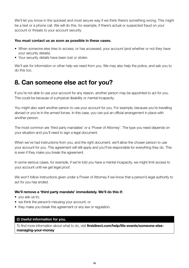We'll let you know in the quickest and most secure way if we think there's something wrong. This might be a text or a phone call. We will do this, for example, if there's actual or suspected fraud on your account or threats to your account security.

### **You must contact us as soon as possible in these cases.**

- When someone else tries to access, or has accessed, your account (and whether or not they have your security details).
- Your security details have been lost or stolen.

We'll ask for information or other help we need from you. We may also help the police, and ask you to do this too.

### **8. Can someone else act for you?**

If you're not able to use your account for any reason, another person may be appointed to act for you. This could be because of a physical disability or mental incapacity.

You might also want another person to use your account for you. For example, because you're travelling abroad or you're in the armed forces. In this case, you can put an official arrangement in place with another person.

The most common are 'third party mandates' or a 'Power of Attorney'. The type you need depends on your situation and you'll need to sign a legal document.

When we've had instructions from you, and the right document, we'll allow the chosen person to use your account for you. This agreement will still apply and you'll be responsible for everything they do. This is even if they make you break the agreement.

In some serious cases, for example, if we're told you have a mental incapacity, we might limit access to your account until we get legal proof.

We won't follow instructions given under a Power of Attorney if we know that a person's legal authority to act for you has ended.

### **We'll remove a 'third party mandate' immediately. We'll do this if:**

- you ask us to;
- we think the person's misusing your account; or
- they make you break this agreement or any law or regulation.

### **(!) Useful information for you.**

To find more information about what to do, visit **firstdirect.com/help/life-events/someone-elsemanaging-your-money**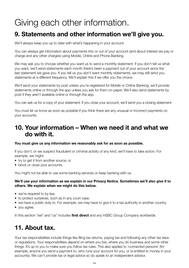## Giving each other information.

### **9. Statements and other information we'll give you.**

We'll always keep you up to date with what's happening in your account.

You can always get information about payments into or out of your account (and about interest we pay or charge and any other charges) using Mobile, Online and Phone Banking.

We may ask you to choose whether you want us to send a monthly statement. If you don't tell us what you want, we'll send statements each month there's been a payment out of your account since the last statement we gave you. If you tell us you don't want monthly statements, we may still send you statements at a different frequency. We'll explain this if we offer you the choice.

We'll send your statements by post unless you're registered for Mobile or Online Banking, we'll provide statements online or through the app unless you ask for them on paper. We'll also send statements by post if they aren't available online or through the app.

You can ask us for a copy of your statement. If you close your account, we'll send you a closing statement.

You must let us know as soon as possible if you think there are any unusual or incorrect payments on your accounts.

### **10. Your information – When we need it and what we do with it.**

### **You must give us any information we reasonably ask for as soon as possible.**

If you don't, or we suspect fraudulent or criminal activity of any kind, we'll have to take action. For example, we might:

- try to get it from another source; or
- block or close your accounts.

You might not be able to use some banking services or keep banking with us.

### **We'll use your information as we explain in our Privacy Notice. Sometimes we'll also give it to others. We explain when we might do this below.**

- we're required to by law.
- to protect ourselves, such as in any court case.
- we have a public duty to. For example, we may have to give it to a tax authority in another country.
- you agree.

In this section "we" and "us" includes **first direct** and any HSBC Group Company worldwide.

### **11. About tax.**

Your tax responsibilities include things like filing tax returns, paying tax and following any other tax laws or regulations. Your responsibilities depend on where you live, where you do business and some other things. It's up to you to make sure you follow tax rules. This also applies to 'connected persons' (for example, anyone you send a payment to, who runs your account for you, or is entitled to money in your accounts). We can't provide tax or legal advice so do speak to an independent advisor.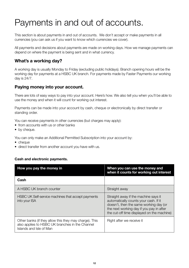## Payments in and out of accounts.

This section is about payments in and out of accounts. We don't accept or make payments in all currencies (you can ask us if you want to know which currencies we cover).

All payments and decisions about payments are made on working days. How we manage payments can depend on where the payment is being sent and in what currency.

### **What's a working day?**

A working day is usually Monday to Friday (excluding public holidays). Branch opening hours will be the working day for payments at a HSBC UK branch. For payments made by Faster Payments our working day is 24/7.

### **Paying money into your account.**

There are lots of easy ways to pay into your account. Here's how. We also tell you when you'll be able to use the money and when it will count for working out interest.

Payments can be made into your account by cash, cheque or electronically by direct transfer or standing order.

You can receive payments in other currencies (but charges may apply):

- from accounts with us or other banks
- by cheque.

You can only make an Additional Permitted Subscription into your account by:

- cheque
- direct transfer from another account you have with us.

### **Cash and electronic payments.**

| How you pay the money in                                                                                                             | When you can use the money and<br>when it counts for working out interest                                                                                                                                         |
|--------------------------------------------------------------------------------------------------------------------------------------|-------------------------------------------------------------------------------------------------------------------------------------------------------------------------------------------------------------------|
| Cash                                                                                                                                 |                                                                                                                                                                                                                   |
| A HSBC UK branch counter                                                                                                             | Straight away                                                                                                                                                                                                     |
| HSBC UK Self-service machines that accept payments<br>into your ISA                                                                  | Straight away if the machine says it<br>automatically counts your cash. If it<br>doesn't, then the same working day (or<br>the next working day if you pay in after<br>the cut-off time displayed on the machine) |
| Other banks (if they allow this they may charge). This<br>also applies to HSBC UK branches in the Channel<br>Islands and Isle of Man | Right after we receive it                                                                                                                                                                                         |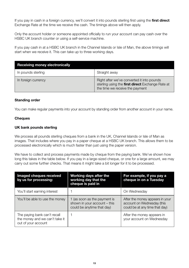If you pay in cash in a foreign currency, we'll convert it into pounds sterling first using the **first direct** Exchange Rate at the time we receive the cash. The timings above will then apply.

Only the account holder or someone appointed officially to run your account can pay cash over the HSBC UK branch counter or using a self-service machine.

If you pay cash in at a HSBC UK branch in the Channel Islands or Isle of Man, the above timings will start when we receive it. This can take up to three working days.

| <b>Receiving money electronically</b> |                                                                                                                                   |
|---------------------------------------|-----------------------------------------------------------------------------------------------------------------------------------|
| In pounds sterling                    | Straight away                                                                                                                     |
| In foreign currency                   | Right after we've converted it into pounds<br>sterling using the first direct Exchange Rate at<br>the time we receive the payment |

### **Standing order**

You can make regular payments into your account by standing order from another account in your name.

### **Cheques**

### **UK bank pounds sterling**

We process all pounds sterling cheques from a bank in the UK. Channel Islands or Isle of Man as images. That includes where you pay in a paper cheque at a HSBC UK branch. This allows them to be processed electronically which is much faster than just using the paper version.

We have to collect and process payments made by cheque from the paying bank. We've shown how long this takes in the table below. If you pay in a large-sized cheque, or one for a large amount, we may carry out some further checks. That means it might take a bit longer for it to be processed.

| Imaged cheques received<br>by us for processing:                                      | Working days after the<br>working day that the<br>cheque is paid in                        | For example, if you pay a<br>cheque in on a Tuesday                                             |
|---------------------------------------------------------------------------------------|--------------------------------------------------------------------------------------------|-------------------------------------------------------------------------------------------------|
| You'll start earning interest                                                         |                                                                                            | On Wednesday                                                                                    |
| You'll be able to use the money                                                       | 1 (as soon as the payment is<br>shown in your account - this<br>could be anytime that day) | After the money appears in your<br>account on Wednesday (this<br>could be at any time that day) |
| The paying bank can't recall<br>the money and we can't take it<br>out of your account |                                                                                            | After the money appears in<br>your account on Wednesday                                         |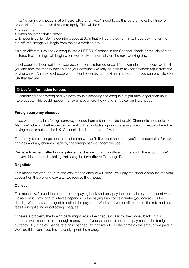If you're paying a cheque in at a HSBC UK branch, you'll need to do this before the cut-off time for processing for the above timings to apply. This will be either:

- 3.30pm; or
- when counter service closes.

whichever is earlier. So if a counter closes at 3pm that will be the cut-off time. If you pay in after the cut-off, the timings will begin from the next working day.

It's also different if you pay a cheque into a HSBC UK branch in the Channel Islands or the Isle of Man. Instead, these timings will begin when we receive it, normally on the next working day.

If a cheque has been paid into your account but is returned unpaid (for example, it bounces), we'll tell you and take the money back out of your account. We may be able to ask for payment again from the paying bank. An unpaid cheque won't count towards the maximum amount that you can pay into your ISA that tax year.

### **(!) Useful information for you.**

If something goes wrong and we have trouble scanning the cheque it might take longer than usual to process. This could happen, for example, where the writing isn't clear on the cheque.

### **Foreign currency cheques**

If you want to pay in a foreign currency cheque from a bank outside the UK, Channel Islands or Isle of Man, we'll check whether we can accept it. That includes a pounds sterling or euro cheque where the paying bank is outside the UK, Channel Islands or the Isle of Man.

There may be exchange controls that mean we can't. If we can accept it, you'll be responsible for our charges and any charges made by the foreign bank or agent we use.

We have to either **collect** or **negotiate** the cheque. If it's in a different currency to the account, we'll convert this to pounds sterling first using the **first direct** Exchange Rate.

### **Negotiate**

This means we work on trust and assume the cheque will clear. We'll pay the cheque amount into your account on the working day after we receive the cheque.

### **Collect**

This means we'll send the cheque to the paying bank and only pay the money into your account when we receive it. How long this takes depends on the paying bank or its country (you can ask us for details). We may use an agent to collect the payment. We'll send you confirmation of the rate and any fees for negotiating or collecting cheques.

If there's a problem, the foreign bank might return the cheque or ask for the money back. If this happens we'll need to take enough money out of your account to cover the payment in the foreign currency. So, if the exchange rate has changed, it's not likely to be the same as the amount we paid in. We'll do this even if you have already spent the money.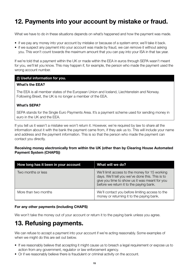### **12. Payments into your account by mistake or fraud.**

What we have to do in these situations depends on what's happened and how the payment was made.

- if we pay any money into your account by mistake or because of a system error, we'll take it back.
- if we suspect any payment into your account was made by fraud, we can remove it without asking you. This won't count towards the maximum amount that you can pay into your ISA in that tax year.

If we're told that a payment within the UK or made within the EEA in euros through SEPA wasn't meant for you, we'll let you know. This may happen if, for example, the person who made the payment used the wrong account number.

### **(!) Useful information for you.**

### **What's the EEA?**

The EEA is all member states of the European Union and Iceland, Liechtenstein and Norway. Following Brexit, the UK is no longer a member of the EEA.

### **What's SEPA?**

SEPA stands for the Single Euro Payments Area. It's a payment scheme used for sending money in euro in the UK and the EEA.

If you tell us it wasn't a mistake we won't return it. However, we're required by law to share all the information about it with the bank the payment came from, if they ask us to. This will include your name and address and the payment information. This is so that the person who made the payment can contact you directly.

### **Receiving money electronically from within the UK (other than by Clearing House Automated Payment System (CHAPS))**

| How long has it been in your account | What will we do?                                                                                                                                                                               |
|--------------------------------------|------------------------------------------------------------------------------------------------------------------------------------------------------------------------------------------------|
| Two months or less                   | We'll limit access to the money for 15 working<br>days. We'll tell you we've done this. This is to<br>give you time to show us it was meant for you<br>before we return it to the paying bank. |
| More than two months                 | We'll contact you before limiting access to the<br>money or returning it to the paying bank.                                                                                                   |

### **For any other payments (including CHAPS)**

We won't take the money out of your account or return it to the paying bank unless you agree.

### **13. Refusing payments.**

We can refuse to accept a payment into your account if we're acting reasonably. Some examples of when we might do this are set out below.

- If we reasonably believe that accepting it might cause us to breach a legal requirement or expose us to action from any government, regulator or law enforcement agency.
- Or if we reasonably believe there is fraudulent or criminal activity on the account.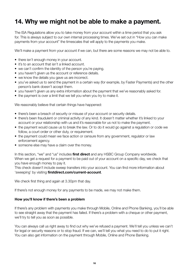### **14. Why we might not be able to make a payment.**

The ISA Regulations allow you to take money from your account within a time period that you ask for. This is always subject to our own internal processing times. We've set out in "How you can make payments from your account" the timescales that will apply to the payments you make.

We'll make a payment from your account if we can, but there are some reasons we may not be able to.

- there isn't enough money in your account.
- it's to an account that isn't a linked account.
- we can't confirm the identity of the person you're paying.
- you haven't given us the account or reference details.
- we know the details you gave us are incorrect.
- you've asked us to send the payment in a certain way (for example, by Faster Payments) and the other person's bank doesn't accept them.
- you haven't given us any extra information about the payment that we've reasonably asked for.
- the payment is over a limit that we tell you when you try to make it.

We reasonably believe that certain things have happened:

- there's been a breach of security or misuse of your account or security details.
- there's been fraudulent or criminal activity of any kind. It doesn't matter whether it's linked to your account or your relationship with us and it's reasonable for us not to make the payment.
- the payment would cause us to break the law. Or to do it would go against a regulation or code we follow, a court order or other duty, or requirement.
- the payment could mean we face action or censure from any government, regulator or law enforcement agency.
- someone else may have a claim over the money.

In this section, "we" and "us" includes **first direct** and any HSBC Group Company worldwide. When we get a request for a payment to be paid out of your account on a specific day, we check that you have enough money to pay it.

This check doesn't include sweep transfers into your account. You can find more information about 'sweeping' by visiting **firstdirect.com/current-account**.

We check first thing and again at 3.30pm that day.

If there's not enough money for any payments to be made, we may not make them.

### **How you'll know if there's been a problem**

If there's any problem with payments you make through Mobile, Online and Phone Banking, you'll be able to see straight away that the payment has failed. If there's a problem with a cheque or other payment, we'll try to tell you as soon as possible.

You can always call us right away to find out why we've refused a payment. We'll tell you unless we can't for legal or security reasons or to stop fraud. If we can, we'll tell you what you need to do to put it right. You can also get information on the payment through Mobile, Online and Phone Banking.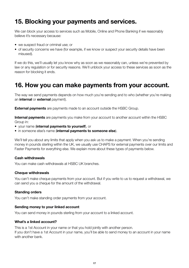### **15. Blocking your payments and services.**

We can block your access to services such as Mobile, Online and Phone Banking if we reasonably believe it's necessary because:

- we suspect fraud or criminal use; or
- of security concerns we have (for example, if we know or suspect your security details have been misused).

If we do this, we'll usually let you know why as soon as we reasonably can, unless we're prevented by law or any regulation or for security reasons. We'll unblock your access to these services as soon as the reason for blocking it ends.

### **16. How you can make payments from your account.**

The way we send payments depends on how much you're sending and to who (whether you're making an **internal** or **external** payment).

**External payments** are payments made to an account outside the HSBC Group.

**Internal payments** are payments you make from your account to another account within the HSBC Group in:

- your name (**internal payments to yourself**), or
- in someone else's name (**internal payments to someone else**).

We'll tell you about any limits that apply when you ask us to make a payment. When you're sending money in pounds sterling within the UK, we usually use CHAPS for external payments over our limits and Faster Payments for everything else. We explain more about these types of payments below.

### **Cash withdrawals**

You can make cash withdrawals at HSBC UK branches.

#### **Cheque withdrawals**

You can't make cheque payments from your account. But if you write to us to request a withdrawal, we can send you a cheque for the amount of the withdrawal.

#### **Standing orders**

You can't make standing order payments from your account.

#### **Sending money to your linked account**

You can send money in pounds sterling from your account to a linked account.

### **What's a linked account?**

This is a 1st Account in your name or that you hold jointly with another person. If you don't have a 1st Account in your name, you'll be able to send money to an account in your name with another bank.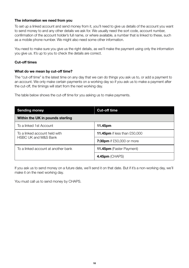### **The information we need from you**

To set up a linked account and send money from it, you'll need to give us details of the account you want to send money to and any other details we ask for. We usually need the sort code, account number, confirmation of the account holder's full name, or where available, a number that is linked to these, such as a mobile phone number. We might also need some other information.

You need to make sure you give us the right details, as we'll make the payment using only the information you give us. It's up to you to check the details are correct.

### **Cut-off times**

#### **What do we mean by cut-off time?**

The "cut-off time" is the latest time on any day that we can do things you ask us to, or add a payment to an account. We only make certain payments on a working day so if you ask us to make a payment after the cut-off, the timings will start from the next working day.

The table below shows the cut-off time for you asking us to make payments.

| <b>Sending money</b>                                             | <b>Cut-off time</b>                 |  |
|------------------------------------------------------------------|-------------------------------------|--|
| Within the UK in pounds sterling                                 |                                     |  |
| To a linked 1st Account                                          | 11.45pm                             |  |
| To a linked account held with<br><b>HSBC UK and M&amp;S Bank</b> | <b>11.45pm</b> if less than £50,000 |  |
|                                                                  | <b>7:30pm</b> if £50,000 or more    |  |
| To a linked account at another bank                              | <b>11.45pm</b> (Faster Payment)     |  |
|                                                                  | $4.45$ pm (CHAPS)                   |  |

If you ask us to send money on a future date, we'll send it on that date. But if it's a non-working day, we'll make it on the next working day.

You must call us to send money by CHAPS.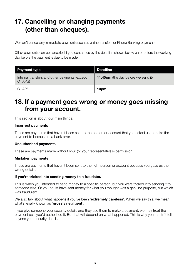### **17. Cancelling or changing payments (other than cheques).**

We can't cancel any immediate payments such as online transfers or Phone Banking payments.

Other payments can be cancelled if you contact us by the deadline shown below on or before the working day before the payment is due to be made.

| <b>Payment type</b>                                     | <b>Deadline</b>                            |
|---------------------------------------------------------|--------------------------------------------|
| Internal transfers and other payments (except<br>CHAPS) | <b>11.45pm</b> (the day before we send it) |
| <b>CHAPS</b>                                            | 10pm                                       |

### **18. If a payment goes wrong or money goes missing from your account.**

This section is about four main things.

#### **Incorrect payments**

These are payments that haven't been sent to the person or account that you asked us to make the payment to because of a bank error.

#### **Unauthorised payments**

These are payments made without your (or your representative's) permission.

#### **Mistaken payments**

These are payments that haven't been sent to the right person or account because you gave us the wrong details.

#### **If you're tricked into sending money to a fraudster.**

This is when you intended to send money to a specific person, but you were tricked into sending it to someone else. Or you could have sent money for what you thought was a genuine purpose, but which was fraudulent.

We also talk about what happens if you've been '**extremely careless**'. When we say this, we mean what's legally known as '**grossly negligent**'.

If you give someone your security details and they use them to make a payment, we may treat the payment as if you'd authorised it. But that will depend on what happened. This is why you mustn't tell anyone your security details.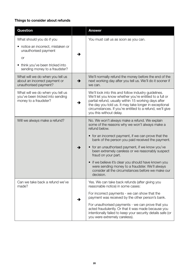### **Things to consider about refunds**

| Question                                                                                      |   | Answer                                                                                                                                                                                                                                                                                                                    |
|-----------------------------------------------------------------------------------------------|---|---------------------------------------------------------------------------------------------------------------------------------------------------------------------------------------------------------------------------------------------------------------------------------------------------------------------------|
| What should you do if you                                                                     |   | You must call us as soon as you can.                                                                                                                                                                                                                                                                                      |
| • notice an incorrect, mistaken or<br>unauthorised payment                                    | → |                                                                                                                                                                                                                                                                                                                           |
| <b>or</b>                                                                                     |   |                                                                                                                                                                                                                                                                                                                           |
| think you've been tricked into<br>sending money to a fraudster?                               |   |                                                                                                                                                                                                                                                                                                                           |
| What will we do when you tell us<br>about an incorrect payment or<br>unauthorised payment?    | → | We'll normally refund the money before the end of the<br>next working day after you tell us. We'll do it sooner if<br>we can.                                                                                                                                                                                             |
| What will we do when you tell us<br>you've been tricked into sending<br>money to a fraudster? | → | We'll look into this and follow industry guidelines.<br>We'll let you know whether you're entitled to a full or<br>partial refund, usually within 15 working days after<br>the day you told us. It may take longer in exceptional<br>circumstances. If you're entitled to a refund, we'll give<br>you this without delay. |
| Will we always make a refund?                                                                 |   | No. We won't always make a refund. We explain<br>some of the reasons why we won't always make a<br>refund below.                                                                                                                                                                                                          |
|                                                                                               |   | • for an incorrect payment, if we can prove that the<br>bank of the person you paid received the payment.                                                                                                                                                                                                                 |
|                                                                                               | → | • for an unauthorised payment, if we know you've<br>been extremely careless or we reasonably suspect<br>fraud on your part.                                                                                                                                                                                               |
|                                                                                               |   | • if we believe it's clear you should have known you<br>were sending money to a fraudster. We'll always<br>consider all the circumstances before we make our<br>decision.                                                                                                                                                 |
| Can we take back a refund we've<br>made?                                                      |   | Yes. We can take back refunds (after giving you<br>reasonable notice) in some cases:                                                                                                                                                                                                                                      |
|                                                                                               | → | For incorrect payments - we can show that the<br>payment was received by the other person's bank.                                                                                                                                                                                                                         |
|                                                                                               |   | For unauthorised payments - we can prove that you<br>acted fraudulently. Or that it was made because you<br>intentionally failed to keep your security details safe (or<br>you were extremely careless).                                                                                                                  |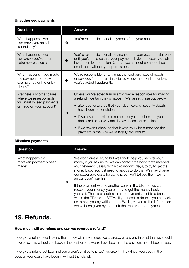### **Unauthorised payments**

| Question                                                                                                       |   | <b>Answer</b>                                                                                                                                                                                                                                                                                                                                                                                                                                                                           |
|----------------------------------------------------------------------------------------------------------------|---|-----------------------------------------------------------------------------------------------------------------------------------------------------------------------------------------------------------------------------------------------------------------------------------------------------------------------------------------------------------------------------------------------------------------------------------------------------------------------------------------|
| What happens if we<br>can prove you acted<br>fraudulently?                                                     | → | You're responsible for all payments from your account.                                                                                                                                                                                                                                                                                                                                                                                                                                  |
| What happens if we<br>can prove you've been<br>extremely careless?                                             | → | You're responsible for all payments from your account. But only<br>until you've told us that your payment device or security details<br>have been lost or stolen. Or that you suspect someone has<br>used them without your permission.                                                                                                                                                                                                                                                 |
| What happens if you made<br>the payment remotely, for<br>example, by online or by<br>phone?                    | → | We're responsible for any unauthorised purchase of goods<br>or services (other than financial services) made online, unless<br>you've acted fraudulently.                                                                                                                                                                                                                                                                                                                               |
| Are there any other cases<br>where we're responsible<br>for unauthorised payments<br>or fraud on your account? | → | Unless you've acted fraudulently, we're responsible for making<br>a refund if certain things happen. We've set these out below.<br>• after you've told us that your debit card or security details<br>have been lost or stolen.<br>if we haven't provided a number for you to tell us that your<br>$\bullet$<br>debit card or security details have been lost or stolen.<br>• if we haven't checked that it was you who authorised the<br>payment in the way we're legally required to. |

### **Mistaken payments**

| Question                                              |   | <b>Answer</b>                                                                                                                                                                                                                                                                                                                                                                         |
|-------------------------------------------------------|---|---------------------------------------------------------------------------------------------------------------------------------------------------------------------------------------------------------------------------------------------------------------------------------------------------------------------------------------------------------------------------------------|
| What happens if a<br>mistaken payment's been<br>made? | → | We won't give a refund but we'll try to help you recover your<br>money if you ask us to. We can contact the bank that's received<br>your payment, usually within two working days, to try to get the<br>money back. You just need to ask us to do this. We may charge<br>our reasonable costs for doing it, but we'll tell you the maximum<br>amount you'll pay first.                |
|                                                       |   | If the payment was to another bank in the UK and we can't<br>recover your money, you can try to get the money back<br>yourself. That also applies to euro payments sent to a bank<br>within the EEA using SEPA. If you need to do this, you can ask<br>us to help you by writing to us. We'll give you all the information<br>we've been given by the bank that received the payment. |

### **19. Refunds.**

### **How much will we refund and can we reverse a refund?**

If we give a refund, we'll refund the money with any interest we charged, or pay any interest that we should have paid. This will put you back in the position you would have been in if the payment hadn't been made.

If we give a refund but later find you weren't entitled to it, we'll reverse it. This will put you back in the position you would have been in without the refund.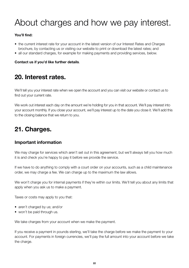# About charges and how we pay interest.

### **You'll find:**

- the current interest rate for your account in the latest version of our Interest Rates and Charges brochure, by contacting us or visiting our website to print or download the latest rates; and
- all our standard charges, for example for making payments and providing services, below.

### **Contact us if you'd like further details**.

### **20. Interest rates.**

We'll tell you your interest rate when we open the account and you can visit our website or contact us to find out your current rate.

We work out interest each day on the amount we're holding for you in that account. We'll pay interest into your account monthly. If you close your account, we'll pay interest up to the date you close it. We'll add this to the closing balance that we return to you.

### **21. Charges.**

### **Important information**

We may charge for services which aren't set out in this agreement, but we'll always tell you how much it is and check you're happy to pay it before we provide the service.

If we have to do anything to comply with a court order on your accounts, such as a child maintenance order, we may charge a fee. We can charge up to the maximum the law allows.

We won't charge you for internal payments if they're within our limits. We'll tell you about any limits that apply when you ask us to make a payment.

Taxes or costs may apply to you that:

- aren't charged by us; and/or
- won't be paid through us.

We take charges from your account when we make the payment.

If you receive a payment in pounds sterling, we'll take the charge before we make the payment to your account. For payments in foreign currencies, we'll pay the full amount into your account before we take the charge.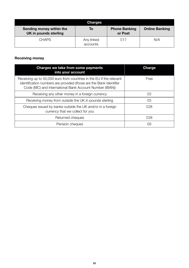|                                                   | <b>Charges</b>         |                                 |                       |
|---------------------------------------------------|------------------------|---------------------------------|-----------------------|
| Sending money within the<br>UK in pounds sterling | Тo                     | <b>Phone Banking</b><br>or Post | <b>Online Banking</b> |
| <b>CHAPS</b>                                      | Any linked<br>accounts | £17                             | N/A                   |

### **Receiving money**

| Charges we take from some payments<br>into your account                                                                                                                                                | Charge |
|--------------------------------------------------------------------------------------------------------------------------------------------------------------------------------------------------------|--------|
| Receiving up to 50,000 euro from countries in the EU if the relevant<br>identification numbers are provided (those are the Bank Identifier<br>Code (BIC) and International Bank Account Number (IBAN)) | Free   |
| Receiving any other money in a foreign currency                                                                                                                                                        | £5     |
| Receiving money from outside the UK in pounds sterling                                                                                                                                                 | £5     |
| Cheques issued by banks outside the UK and/or in a foreign<br>currency that we collect for you                                                                                                         | £28    |
| Returned cheques                                                                                                                                                                                       | £28    |
| Pension cheques                                                                                                                                                                                        | £6     |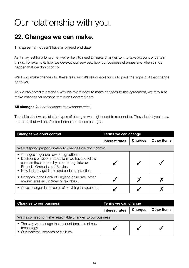## Our relationship with you.

### **22. Changes we can make.**

This agreement doesn't have an agreed end date.

As it may last for a long time, we're likely to need to make changes to it to take account of certain things. For example, how we develop our services, how our business changes and when things happen that we don't control.

We'll only make changes for these reasons if it's reasonable for us to pass the impact of that change on to you.

As we can't predict precisely why we might need to make changes to this agreement, we may also make changes for reasons that aren't covered here.

### **All changes** (but not changes to exchange rates)

The tables below explain the types of changes we might need to respond to. They also let you know the terms that will be affected because of those changes.

| Changes we don't control                                                                                                                                                                                                      | Terms we can change |                |             |
|-------------------------------------------------------------------------------------------------------------------------------------------------------------------------------------------------------------------------------|---------------------|----------------|-------------|
|                                                                                                                                                                                                                               | Interest rates      | <b>Charges</b> | Other items |
| We'll respond proportionately to changes we don't control.                                                                                                                                                                    |                     |                |             |
| • Changes in general law or regulations.<br>• Decisions or recommendations we have to follow<br>such as those made by a court, regulator or<br>Financial Ombudsman Service.<br>• New industry quidance and codes of practice. |                     |                |             |
| • Changes in the Bank of England base rate, other<br>market rates and indices or tax rates.                                                                                                                                   |                     |                |             |
| • Cover changes in the costs of providing the account.                                                                                                                                                                        |                     |                |             |

| <b>Changes to our business</b>                                                                          | Terms we can change |                |             |
|---------------------------------------------------------------------------------------------------------|---------------------|----------------|-------------|
|                                                                                                         | Interest rates      | <b>Charges</b> | Other items |
| We'll also need to make reasonable changes to our business.                                             |                     |                |             |
| • The way we manage the account because of new<br>technology.<br>• Our systems, services or facilities. |                     |                |             |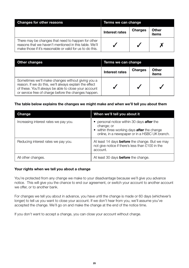| <b>Changes for other reasons</b>                                                                                                                                          | Terms we can change |         |                |
|---------------------------------------------------------------------------------------------------------------------------------------------------------------------------|---------------------|---------|----------------|
|                                                                                                                                                                           | Interest rates      | Charges | Other<br>items |
| There may be changes that need to happen for other<br>reasons that we haven't mentioned in this table. We'll<br>make those if it's reasonable or valid for us to do this. |                     |         |                |

| Other changes                                                                                                                                                                                                                | Terms we can change |                |                |
|------------------------------------------------------------------------------------------------------------------------------------------------------------------------------------------------------------------------------|---------------------|----------------|----------------|
|                                                                                                                                                                                                                              | Interest rates      | <b>Charges</b> | Other<br>items |
| Sometimes we'll make changes without giving you a<br>reason. If we do this, we'll always explain the effect<br>of these. You'll always be able to close your account<br>or service free of charge before the changes happen. |                     |                |                |

#### **The table below explains the changes we might make and when we'll tell you about them**

| Change                                | When we'll tell you about it                                                                                                                                             |
|---------------------------------------|--------------------------------------------------------------------------------------------------------------------------------------------------------------------------|
| Increasing interest rates we pay you. | • personal notice within 30 days <b>after</b> the<br>change; or<br>• within three working days <b>after</b> the change<br>online, in a newspaper or in a HSBC UK branch. |
| Reducing interest rates we pay you.   | At least 14 days <b>before</b> the change. But we may<br>not give notice if there's less than £100 in the<br>account.                                                    |
| All other changes.                    | At least 30 days <b>before</b> the change.                                                                                                                               |

### **Your rights when we tell you about a change**

You're protected from any change we make to your disadvantage because we'll give you advance notice. This will give you the chance to end our agreement, or switch your account to another account we offer, or to another bank.

For changes we tell you about in advance, you have until the change is made or 60 days (whichever's longer) to tell us you want to close your account. If we don't hear from you, we'll assume you've accepted the change. We'll go on and make the change at the end of the notice time.

If you don't want to accept a change, you can close your account without charge.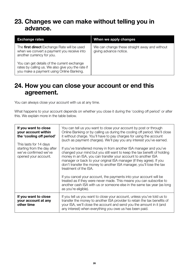### **23. Changes we can make without telling you in advance.**

| <b>Exchange rates</b>                                                                                                                        | When we apply changes                                                   |
|----------------------------------------------------------------------------------------------------------------------------------------------|-------------------------------------------------------------------------|
| The first direct Exchange Rate will be used<br>when we convert a payment you receive into<br>another currency for you.                       | We can change these straight away and without<br>giving advance notice. |
| You can get details of the current exchange<br>rates by calling us. We also give you the rate if<br>you make a payment using Online Banking. |                                                                         |

### **24. How you can close your account or end this agreement.**

You can always close your account with us at any time.

What happens to your account depends on whether you close it during the 'cooling off period' or after this. We explain more in the table below.

| If you want to close<br>your account within<br>the 'cooling off period'<br>This lasts for 14 days<br>starting from the day after<br>we've confirmed we've<br>opened your account. | You can tell us you want to close your account by post or through<br>Online Banking or by calling us during the cooling off period. We'll close<br>it without charge. You'll have to pay charges for using the account<br>(such as payment charges). We'll pay you any interest you've earned.<br>If you've transferred money in from another ISA manager and you've<br>changed your mind but you still want to keep the tax benefit of holding<br>money in an ISA, you can transfer your account to another ISA<br>manager or back to your original ISA manager (if they agree). If you<br>don't transfer the money to another ISA manager, you'll lose the tax<br>treatment of the ISA.<br>If you cancel your account, the payments into your account will be |
|-----------------------------------------------------------------------------------------------------------------------------------------------------------------------------------|-----------------------------------------------------------------------------------------------------------------------------------------------------------------------------------------------------------------------------------------------------------------------------------------------------------------------------------------------------------------------------------------------------------------------------------------------------------------------------------------------------------------------------------------------------------------------------------------------------------------------------------------------------------------------------------------------------------------------------------------------------------------|
|                                                                                                                                                                                   | treated as if they were never made. This means you can subscribe to<br>another cash ISA with us or someone else in the same tax year (as long<br>as you're eligible).                                                                                                                                                                                                                                                                                                                                                                                                                                                                                                                                                                                           |
| If you want to close<br>your account at any<br>other time                                                                                                                         | If you tell us you want to close your account, unless you've told us to<br>transfer the money to another ISA provider to retain the tax benefits of<br>your ISA, we'll close the account and send you the amount in it (and<br>any interest) when everything you owe us has been paid.                                                                                                                                                                                                                                                                                                                                                                                                                                                                          |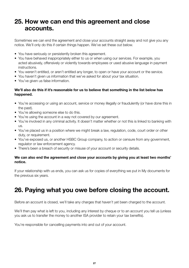### **25. How we can end this agreement and close accounts.**

Sometimes we can end the agreement and close your accounts straight away and not give you any notice. We'll only do this if certain things happen. We've set these out below.

- You have seriously or persistently broken this agreement.
- You have behaved inappropriately either to us or when using our services. For example, you acted abusively, offensively or violently towards employees or used abusive language in payment instructions.
- You weren't entitled, or aren't entitled any longer, to open or have your account or the service.
- You haven't given us information that we've asked for about your tax situation.
- You've given us false information.

#### **We'll also do this if it's reasonable for us to believe that something in the list below has happened.**

- You're accessing or using an account, service or money illegally or fraudulently (or have done this in the past).
- You're allowing someone else to do this.
- You're using the account in a way not covered by our agreement.
- You're involved in any criminal activity. It doesn't matter whether or not this is linked to banking with us.
- You've placed us in a position where we might break a law, regulation, code, court order or other duty, or requirement.
- You've exposed us, or another HSBC Group company, to action or censure from any government, regulator or law enforcement agency.
- There's been a breach of security or misuse of your account or security details.

### **We can also end the agreement and close your accounts by giving you at least two months' notice.**

If your relationship with us ends, you can ask us for copies of everything we put in My documents for the previous six years.

### **26. Paying what you owe before closing the account.**

Before an account is closed, we'll take any charges that haven't yet been charged to the account.

We'll then pay what is left to you, including any interest by cheque or to an account you tell us (unless you ask us to transfer the money to another ISA provider to retain your tax benefits).

You're responsible for cancelling payments into and out of your account.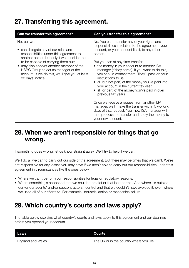### **27. Transferring this agreement.**

| Can we transfer this agreement?                                                                                                                                                                                                                                                                                                            | Can you transfer this agreement?                                                                                                                                                                                                                                                                                                                                                                                                                                                                                                                                                                                                                                                                                                                                                         |
|--------------------------------------------------------------------------------------------------------------------------------------------------------------------------------------------------------------------------------------------------------------------------------------------------------------------------------------------|------------------------------------------------------------------------------------------------------------------------------------------------------------------------------------------------------------------------------------------------------------------------------------------------------------------------------------------------------------------------------------------------------------------------------------------------------------------------------------------------------------------------------------------------------------------------------------------------------------------------------------------------------------------------------------------------------------------------------------------------------------------------------------------|
| No, but we:<br>can delegate any of our roles and<br>responsibilities under this agreement to<br>another person but only if we consider them<br>to be capable of carrying them out;<br>may also appoint another member of the<br>HSBC Group to act as manager of the<br>account. If we do this, we'll give you at least<br>30 days' notice. | No. You can't transfer any of your rights and<br>responsibilities in relation to the agreement, your<br>account, or your account itself, to any other<br>person.<br>But you can at any time transfer:<br>• the money in your account to another ISA<br>manager (if they agree). If you want to do this,<br>you should contact them. They'll pass on your<br>instructions to us:<br>• all (but not part) of the money you've paid into<br>your account in the current tax year,<br>• all (or part) of the money you've paid in over<br>previous tax years.<br>Once we receive a request from another ISA<br>manager, we'll make the transfer within 5 working<br>days of that request. Your new ISA manager will<br>then process the transfer and apply the money to<br>your new account. |

### **28. When we aren't responsible for things that go wrong.**

If something goes wrong, let us know straight away. We'll try to help if we can.

We'll do all we can to carry out our side of the agreement. But there may be times that we can't. We're not responsible for any losses you may have if we aren't able to carry out our responsibilities under this agreement in circumstances like the ones below.

- Where we can't perform our responsibilities for legal or regulatory reasons.
- Where something's happened that we couldn't predict or that isn't normal. And where it's outside our (or our agents' and/or subcontractors') control and that we couldn't have avoided it, even where we used all of our efforts to. For example, industrial action or mechanical failure.

### **29. Which country's courts and laws apply?**

The table below explains what country's courts and laws apply to this agreement and our dealings before you opened your account.

| Laws                     | Courts                                  |
|--------------------------|-----------------------------------------|
| <b>England and Wales</b> | The UK or in the country where you live |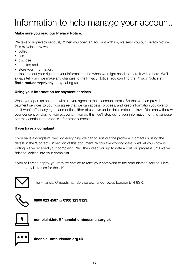# Information to help manage your account.

### **Make sure you read our Privacy Notice.**

We take your privacy seriously. When you open an account with us, we send you our Privacy Notice. This explains how we:

- collect
- $\bullet$  use
- disclose
- transfer; and
- store your information.

It also sets out your rights to your information and when we might need to share it with others. We'll always tell you if we make any changes to the Privacy Notice. You can find the Privacy Notice at **firstdirect.com/privacy** or by calling us.

### **Using your information for payment services**

When you open an account with us, you agree to these account terms. So that we can provide payment services to you, you agree that we can access, process, and keep information you give to us. It won't affect any rights and duties either of us have under data protection laws. You can withdraw your consent by closing your account. If you do this, we'll stop using your information for this purpose, but may continue to process it for other purposes.

### **If you have a complaint**

If you have a complaint, we'll do everything we can to sort out the problem. Contact us using the details in the 'Contact us' section of this document. Within five working days, we'll let you know in writing we've received your complaint. We'll then keep you up to date about our progress until we've finished looking into your complaint.

If you still aren't happy, you may be entitled to refer your complaint to the ombudsman service. Here are the details to use for the UK.



The Financial Ombudsman Service Exchange Tower, London E14 9SR.



 **0800 023 4567** or **0300 123 9123**.



 **complaint.info@financial-ombudsman.org.uk**



 **financial-ombudsman.org.uk**.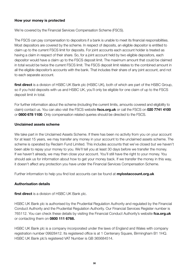### **How your money is protected**

We're covered by the Financial Services Compensation Scheme (FSCS).

The FSCS can pay compensation to depositors if a bank is unable to meet its financial responsibilities. Most depositors are covered by the scheme. In respect of deposits, an eligible depositor is entitled to claim up to the current FSCS limit for deposits. For joint accounts each account holder is treated as having a claim in respect of their share. So, for a joint account held by two eligible depositors, each depositor would have a claim up to the FSCS deposit limit. The maximum amount that could be claimed in total would be twice the current FSCS limit. The FSCS deposit limit relates to the combined amount in all the eligible depositor's accounts with the bank. That includes their share of any joint account, and not to each separate account.

**first direct** is a division of HSBC UK Bank plc (HSBC UK), both of which are part of the HSBC Group, so if you hold deposits with us and HSBC UK, you'll only be eligible for one claim of up to the FSCS deposit limit in total.

For further information about the scheme (including the current limits, amounts covered and eligibility to claim) contact us. You can also visit the FSCS website **fscs.org.uk** or call the FSCS on **020 7741 4100** or **0800 678 1100**. Only compensation related queries should be directed to the FSCS.

### **Unclaimed assets scheme**

We take part in the Unclaimed Assets Scheme. If there has been no activity from you on your account for at least 15 years, we may transfer any money in your account to the unclaimed assets scheme. The scheme is operated by Reclaim Fund Limited. This includes accounts that we've closed but we haven't been able to repay your money to you. We'll tell you at least 30 days before we transfer the money. If we haven't already, we may then close your account. You'll still have the right to your money. You should ask us for information about how to get your money back. If we transfer the money in this way, it doesn't affect any protection you have under the Financial Services Compensation Scheme.

Further information to help you find lost accounts can be found at **mylostaccount.org.uk** 

### **Authorisation details**

**first direct** is a division of HSBC UK Bank plc.

HSBC UK Bank plc is authorised by the Prudential Regulation Authority and regulated by the Financial Conduct Authority and the Prudential Regulation Authority. Our Financial Services Register number is 765112. You can check these details by visiting the Financial Conduct Authority's website **fca.org.uk**  or contacting them on **0800 111 6768.**

HSBC UK Bank plc is a company incorporated under the laws of England and Wales with company registration number 09928412. Its registered office is at 1 Centenary Square, Birmingham B1 1HQ. HSBC UK Bank plc's registered VAT Number is GB 365684514.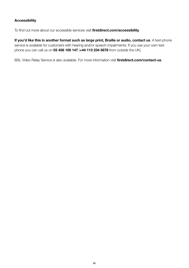### **Accessibility**

To find out more about our accessible services visit **firstdirect.com/accessibility**.

**If you'd like this in another format such as large print, Braille or audio, contact us**. A text-phone service is available for customers with hearing and/or speech impairments. If you use your own textphone you can call us on **03 456 100 147** (**+44 113 234 5678** from outside the UK).

BSL Video Relay Service is also available. For more information visit **firstdirect.com/contact-us**.